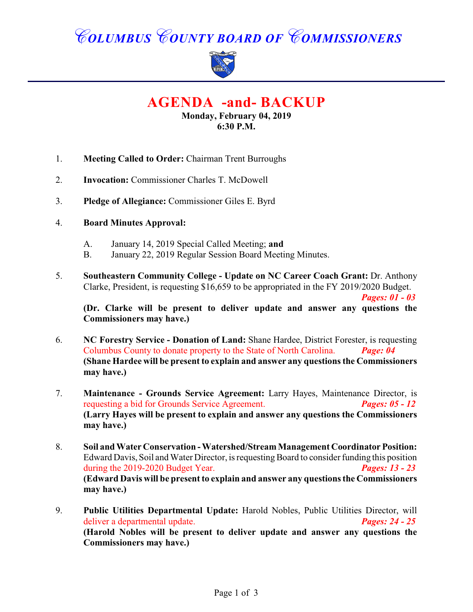# *COLUMBUS COUNTY BOARD OF COMMISSIONERS*



**AGENDA -and- BACKUP**

**Monday, February 04, 2019 6:30 P.M.**

- 1. **Meeting Called to Order:** Chairman Trent Burroughs
- 2. **Invocation:** Commissioner Charles T. McDowell
- 3. **Pledge of Allegiance:** Commissioner Giles E. Byrd

#### 4. **Board Minutes Approval:**

- A. January 14, 2019 Special Called Meeting; **and**
- B. January 22, 2019 Regular Session Board Meeting Minutes.
- 5. **Southeastern Community College Update on NC Career Coach Grant:** Dr. Anthony Clarke, President, is requesting \$16,659 to be appropriated in the FY 2019/2020 Budget.

**(Dr. Clarke will be present to deliver update and answer any questions the Commissioners may have.)**

*Pages: 01 - 03*

- 6. **NC Forestry Service Donation of Land:** Shane Hardee, District Forester, is requesting Columbus County to donate property to the State of North Carolina. *Page: 04* **(Shane Hardee will be present to explain and answer any questions the Commissioners may have.)**
- 7. **Maintenance Grounds Service Agreement:** Larry Hayes, Maintenance Director, is requesting a bid for Grounds Service Agreement. *Pages: 05 - 12* **(Larry Hayes will be present to explain and answer any questions the Commissioners may have.)**
- 8. **Soil and Water Conservation Watershed/Stream Management Coordinator Position:** Edward Davis, Soil and Water Director, is requesting Board to consider funding this position during the 2019-2020 Budget Year. *Pages: 13 - 23* **(Edward Davis will be present to explain and answer any questions the Commissioners may have.)**
- 9. **Public Utilities Departmental Update:** Harold Nobles, Public Utilities Director, will deliver a departmental update. *Pages: 24 - 25* **(Harold Nobles will be present to deliver update and answer any questions the Commissioners may have.)**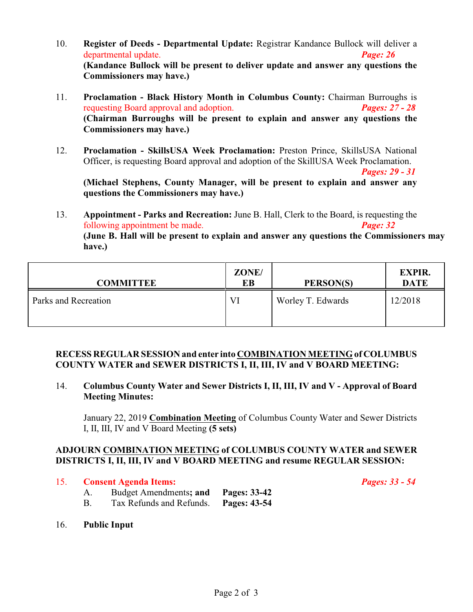- 10. **Register of Deeds Departmental Update:** Registrar Kandance Bullock will deliver a departmental update. *Page: 26* **(Kandance Bullock will be present to deliver update and answer any questions the Commissioners may have.)**
- 11. **Proclamation Black History Month in Columbus County:** Chairman Burroughs is requesting Board approval and adoption. *Pages: 27 - 28* **(Chairman Burroughs will be present to explain and answer any questions the Commissioners may have.)**
- 12. **Proclamation SkillsUSA Week Proclamation:** Preston Prince, SkillsUSA National Officer, is requesting Board approval and adoption of the SkillUSA Week Proclamation.

*Pages: 29 - 31*

**(Michael Stephens, County Manager, will be present to explain and answer any questions the Commissioners may have.)**

13. **Appointment - Parks and Recreation:** June B. Hall, Clerk to the Board, is requesting the following appointment be made. *Page: 32* **(June B. Hall will be present to explain and answer any questions the Commissioners may have.)**

| <b>COMMITTEE</b>     | ZONE/<br>EВ | PERSON(S)         | <b>EXPIR.</b><br><b>DATE</b> |
|----------------------|-------------|-------------------|------------------------------|
| Parks and Recreation | Vl          | Worley T. Edwards | 12/2018                      |

#### **RECESS REGULAR SESSION and enter into COMBINATION MEETING of COLUMBUS COUNTY WATER and SEWER DISTRICTS I, II, III, IV and V BOARD MEETING:**

14. **Columbus County Water and Sewer Districts I, II, III, IV and V - Approval of Board Meeting Minutes:**

January 22, 2019 **Combination Meeting** of Columbus County Water and Sewer Districts I, II, III, IV and V Board Meeting **(5 sets)**

### **ADJOURN COMBINATION MEETING of COLUMBUS COUNTY WATER and SEWER DISTRICTS I, II, III, IV and V BOARD MEETING and resume REGULAR SESSION:**

15. **Consent Agenda Items:** *Pages: 33 - 54*

- A. Budget Amendments**; and Pages: 33-42**
- B. Tax Refunds and Refunds. **Pages: 43-54**
- 16. **Public Input**